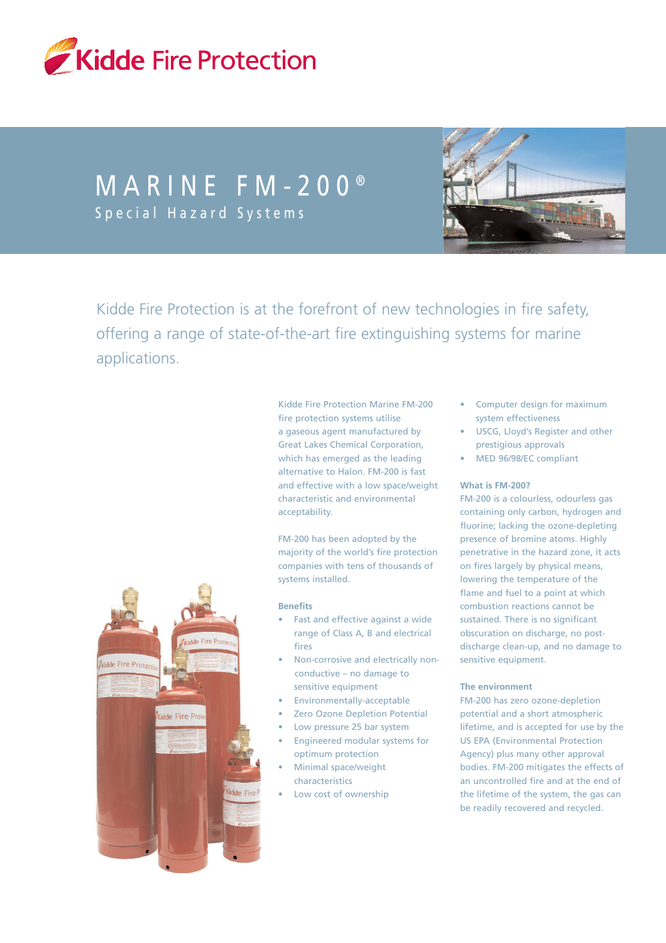

# MARINE FM-200<sup>®</sup> Special Hazard Systems



Kidde Fire Protection is at the forefront of new technologies in fire safety, offering a range of state-of-the-art fire extinguishing systems for marine applications.

> Kidde Fire Protection Marine FM-200 fire protection systems utilise a gaseous agent manufactured by Great Lakes Chemical Corporation, which has emerged as the leading alternative to Halon. FM-200 is fast and effective with a low space/weight characteristic and environmental acceptability.

FM-200 has been adopted by the majority of the world's fire protection companies with tens of thousands of systems installed.

#### **Benefits**

- Fast and effective against a wide range of Class A, B and electrical fires
- Non-corrosive and electrically nonconductive – no damage to sensitive equipment
- Environmentally-acceptable
- Zero Ozone Depletion Potential
- Low pressure 25 bar system
- Engineered modular systems for optimum protection
- Minimal space/weight characteristics
- Low cost of ownership
- Computer design for maximum system effectiveness
- USCG, Lloyd's Register and other prestigious approvals
- MED 96/98/EC compliant

#### **What is FM-200?**

FM-200 is a colourless, odourless gas containing only carbon, hydrogen and fluorine; lacking the ozone-depleting presence of bromine atoms. Highly penetrative in the hazard zone, it acts on fires largely by physical means, lowering the temperature of the flame and fuel to a point at which combustion reactions cannot be sustained. There is no significant obscuration on discharge, no postdischarge clean-up, and no damage to sensitive equipment.

#### **The environment**

FM-200 has zero ozone-depletion potential and a short atmospheric lifetime, and is accepted for use by the US EPA (Environmental Protection Agency) plus many other approval bodies. FM-200 mitigates the effects of an uncontrolled fire and at the end of the lifetime of the system, the gas can be readily recovered and recycled.

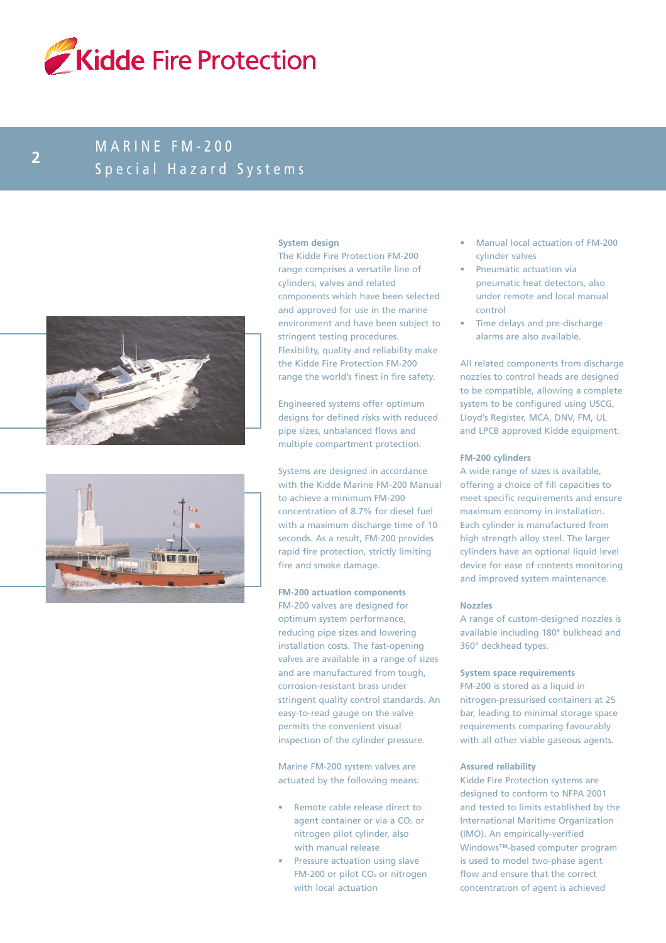

## MARINE FM-200 Special Hazard Systems **<sup>2</sup>**





#### **System design**

The Kidde Fire Protection FM-200 range comprises a versatile line of cylinders, valves and related components which have been selected and approved for use in the marine environment and have been subject to stringent testing procedures. Flexibility, quality and reliability make the Kidde Fire Protection FM-200 range the world's finest in fire safety.

Engineered systems offer optimum designs for defined risks with reduced pipe sizes, unbalanced flows and multiple compartment protection.

Systems are designed in accordance with the Kidde Marine FM-200 Manual to achieve a minimum FM-200 concentration of 8.7% for diesel fuel with a maximum discharge time of 10 seconds. As a result, FM-200 provides rapid fire protection, strictly limiting fire and smoke damage.

#### **FM-200 actuation components**

FM-200 valves are designed for optimum system performance, reducing pipe sizes and lowering installation costs. The fast-opening valves are available in a range of sizes and are manufactured from tough, corrosion-resistant brass under stringent quality control standards. An easy-to-read gauge on the valve permits the convenient visual inspection of the cylinder pressure.

Marine FM-200 system valves are actuated by the following means:

- Remote cable release direct to agent container or via a  $CO<sub>2</sub>$  or nitrogen pilot cylinder, also with manual release
- Pressure actuation using slave FM-200 or pilot CO<sub>2</sub> or nitrogen with local actuation
- Manual local actuation of FM-200 cylinder valves
- Pneumatic actuation via pneumatic heat detectors, also under remote and local manual control
- Time delays and pre-discharge alarms are also available.

All related components from discharge nozzles to control heads are designed to be compatible, allowing a complete system to be configured using USCG, Lloyd's Register, MCA, DNV, FM, UL and LPCB approved Kidde equipment.

#### **FM-200 cylinders**

A wide range of sizes is available, offering a choice of fill capacities to meet specific requirements and ensure maximum economy in installation. Each cylinder is manufactured from high strength alloy steel. The larger cylinders have an optional liquid level device for ease of contents monitoring and improved system maintenance.

#### **Nozzles**

A range of custom-designed nozzles is available including 180° bulkhead and 360° deckhead types.

#### **System space requirements**

FM-200 is stored as a liquid in nitrogen-pressurised containers at 25 bar, leading to minimal storage space requirements comparing favourably with all other viable gaseous agents.

#### **Assured reliability**

Kidde Fire Protection systems are designed to conform to NFPA 2001 and tested to limits established by the International Maritime Organization (IMO). An empirically-verified Windows™-based computer program is used to model two-phase agent flow and ensure that the correct concentration of agent is achieved